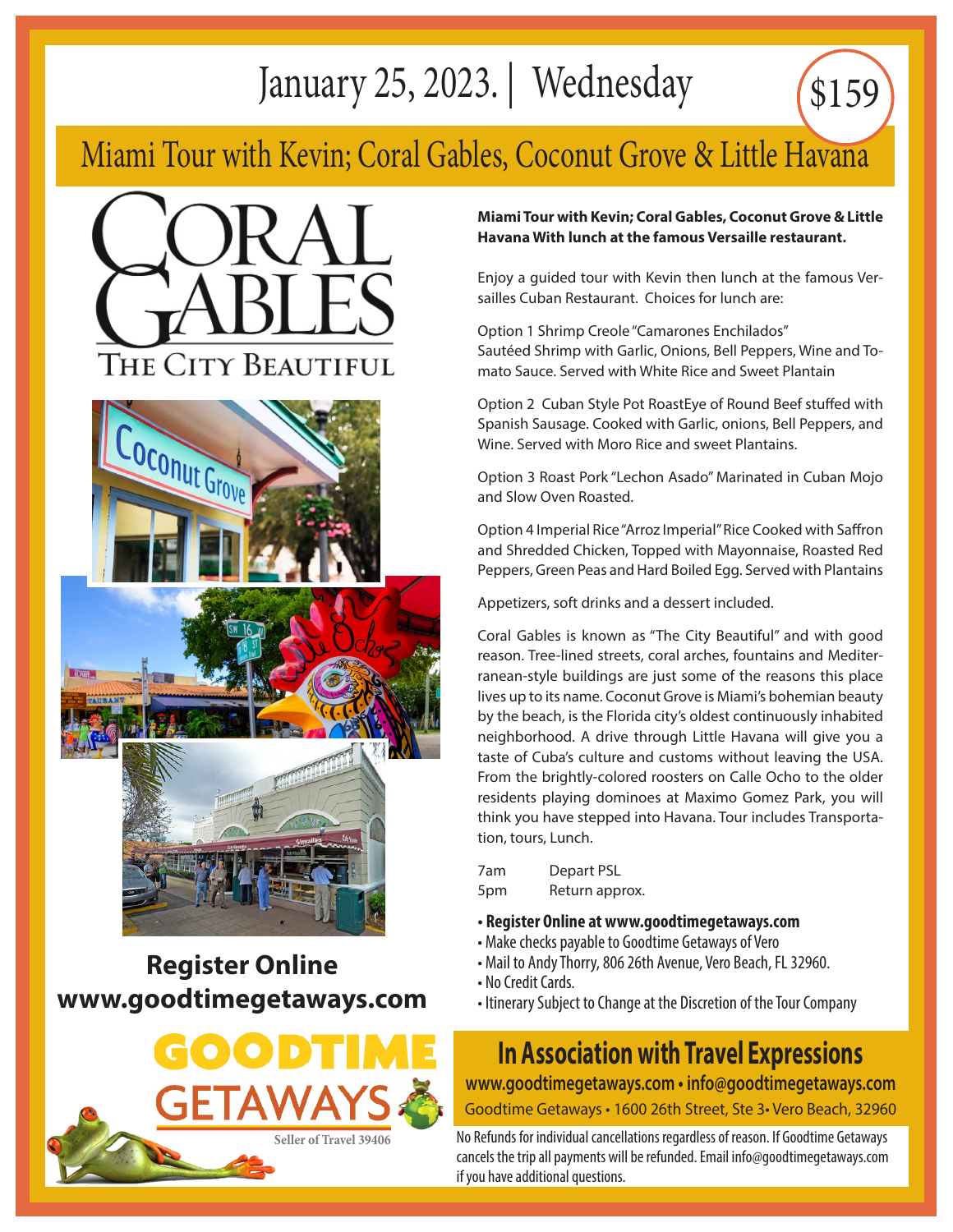# January 25, 2023. | Wednesday

## Miami Tour with Kevin; Coral Gables, Coconut Grove & Little Havana









#### **Register Online www.goodtimegetaways.com**



#### **Miami Tour with Kevin; Coral Gables, Coconut Grove & Little Havana With lunch at the famous Versaille restaurant.**

\$159

Enjoy a guided tour with Kevin then lunch at the famous Versailles Cuban Restaurant. Choices for lunch are:

Option 1 Shrimp Creole "Camarones Enchilados" Sautéed Shrimp with Garlic, Onions, Bell Peppers, Wine and Tomato Sauce. Served with White Rice and Sweet Plantain

Option 2 Cuban Style Pot RoastEye of Round Beef stuffed with Spanish Sausage. Cooked with Garlic, onions, Bell Peppers, and Wine. Served with Moro Rice and sweet Plantains.

Option 3 Roast Pork "Lechon Asado" Marinated in Cuban Mojo and Slow Oven Roasted.

Option 4 Imperial Rice "Arroz Imperial" Rice Cooked with Saffron and Shredded Chicken, Topped with Mayonnaise, Roasted Red Peppers, Green Peas and Hard Boiled Egg. Served with Plantains

Appetizers, soft drinks and a dessert included.

Coral Gables is known as "The City Beautiful" and with good reason. Tree-lined streets, coral arches, fountains and Mediterranean-style buildings are just some of the reasons this place lives up to its name. Coconut Grove is Miami's bohemian beauty by the beach, is the Florida city's oldest continuously inhabited neighborhood. A drive through Little Havana will give you a taste of Cuba's culture and customs without leaving the USA. From the brightly-colored roosters on Calle Ocho to the older residents playing dominoes at Maximo Gomez Park, you will think you have stepped into Havana. Tour includes Transportation, tours, Lunch.

7am Depart PSL 5pm Return approx.

- **Register Online at www.goodtimegetaways.com**
- Make checks payable to Goodtime Getaways of Vero
- Mail to Andy Thorry, 806 26th Avenue, Vero Beach, FL 32960.
- No Credit Cards.
- Itinerary Subject to Change at the Discretion of the Tour Company

# **In Association with Travel Expressions**

**www.goodtimegetaways.com • info@goodtimegetaways.com** Goodtime Getaways • 1600 26th Street, Ste 3• Vero Beach, 32960

No Refunds for individual cancellations regardless of reason. If Goodtime Getaways cancels the trip all payments will be refunded. Email info@goodtimegetaways.com if you have additional questions.